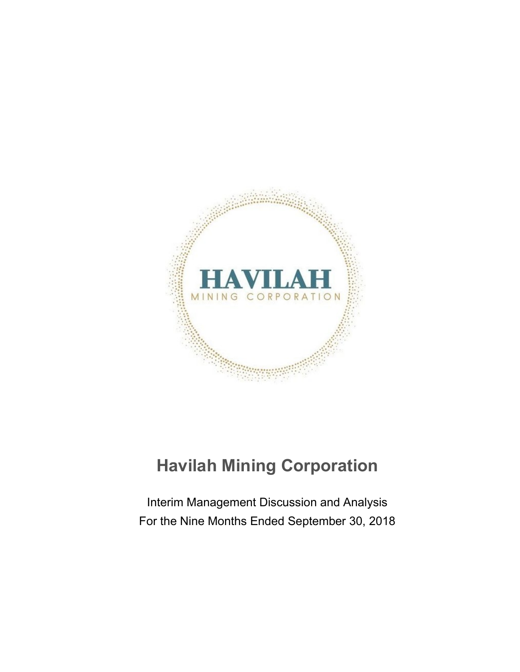

# **Havilah Mining Corporation**

Interim Management Discussion and Analysis For the Nine Months Ended September 30, 2018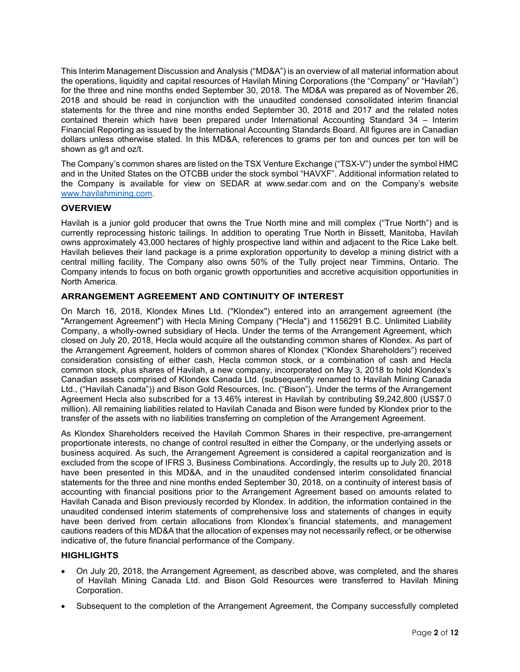This Interim Management Discussion and Analysis ("MD&A") is an overview of all material information about the operations, liquidity and capital resources of Havilah Mining Corporations (the "Company" or "Havilah") for the three and nine months ended September 30, 2018. The MD&A was prepared as of November 26, 2018 and should be read in conjunction with the unaudited condensed consolidated interim financial statements for the three and nine months ended September 30, 2018 and 2017 and the related notes contained therein which have been prepared under International Accounting Standard 34 – Interim Financial Reporting as issued by the International Accounting Standards Board. All figures are in Canadian dollars unless otherwise stated. In this MD&A, references to grams per ton and ounces per ton will be shown as g/t and oz/t.

The Company's common shares are listed on the TSX Venture Exchange ("TSX-V") under the symbol HMC and in the United States on the OTCBB under the stock symbol "HAVXF". Additional information related to the Company is available for view on SEDAR at www.sedar.com and on the Company's website [www.havilahmining.com.](http://www.havilahmining.com/)

#### **OVERVIEW**

Havilah is a junior gold producer that owns the True North mine and mill complex ("True North") and is currently reprocessing historic tailings. In addition to operating True North in Bissett, Manitoba, Havilah owns approximately 43,000 hectares of highly prospective land within and adjacent to the Rice Lake belt. Havilah believes their land package is a prime exploration opportunity to develop a mining district with a central milling facility. The Company also owns 50% of the Tully project near Timmins, Ontario. The Company intends to focus on both organic growth opportunities and accretive acquisition opportunities in North America.

# **ARRANGEMENT AGREEMENT AND CONTINUITY OF INTEREST**

On March 16, 2018, Klondex Mines Ltd. ("Klondex") entered into an arrangement agreement (the "Arrangement Agreement") with Hecla Mining Company ("Hecla") and 1156291 B.C. Unlimited Liability Company, a wholly-owned subsidiary of Hecla. Under the terms of the Arrangement Agreement, which closed on July 20, 2018, Hecla would acquire all the outstanding common shares of Klondex. As part of the Arrangement Agreement, holders of common shares of Klondex ("Klondex Shareholders") received consideration consisting of either cash, Hecla common stock, or a combination of cash and Hecla common stock, plus shares of Havilah, a new company, incorporated on May 3, 2018 to hold Klondex's Canadian assets comprised of Klondex Canada Ltd. (subsequently renamed to Havilah Mining Canada Ltd., ("Havilah Canada")) and Bison Gold Resources, Inc. ("Bison"). Under the terms of the Arrangement Agreement Hecla also subscribed for a 13.46% interest in Havilah by contributing \$9,242,800 (US\$7.0 million). All remaining liabilities related to Havilah Canada and Bison were funded by Klondex prior to the transfer of the assets with no liabilities transferring on completion of the Arrangement Agreement.

As Klondex Shareholders received the Havilah Common Shares in their respective, pre-arrangement proportionate interests, no change of control resulted in either the Company, or the underlying assets or business acquired. As such, the Arrangement Agreement is considered a capital reorganization and is excluded from the scope of IFRS 3, Business Combinations. Accordingly, the results up to July 20, 2018 have been presented in this MD&A, and in the unaudited condensed interim consolidated financial statements for the three and nine months ended September 30, 2018, on a continuity of interest basis of accounting with financial positions prior to the Arrangement Agreement based on amounts related to Havilah Canada and Bison previously recorded by Klondex. In addition, the information contained in the unaudited condensed interim statements of comprehensive loss and statements of changes in equity have been derived from certain allocations from Klondex's financial statements, and management cautions readers of this MD&A that the allocation of expenses may not necessarily reflect, or be otherwise indicative of, the future financial performance of the Company.

# **HIGHLIGHTS**

- On July 20, 2018, the Arrangement Agreement, as described above, was completed, and the shares of Havilah Mining Canada Ltd. and Bison Gold Resources were transferred to Havilah Mining Corporation.
- Subsequent to the completion of the Arrangement Agreement, the Company successfully completed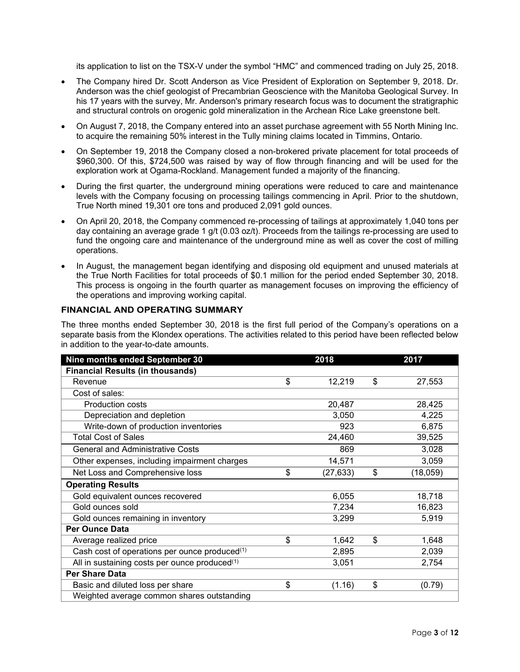its application to list on the TSX-V under the symbol "HMC" and commenced trading on July 25, 2018.

- The Company hired Dr. Scott Anderson as Vice President of Exploration on September 9, 2018. Dr. Anderson was the chief geologist of Precambrian Geoscience with the Manitoba Geological Survey. In his 17 years with the survey, Mr. Anderson's primary research focus was to document the stratigraphic and structural controls on orogenic gold mineralization in the Archean Rice Lake greenstone belt.
- On August 7, 2018, the Company entered into an asset purchase agreement with 55 North Mining Inc. to acquire the remaining 50% interest in the Tully mining claims located in Timmins, Ontario.
- On September 19, 2018 the Company closed a non-brokered private placement for total proceeds of \$960,300. Of this, \$724,500 was raised by way of flow through financing and will be used for the exploration work at Ogama-Rockland. Management funded a majority of the financing.
- During the first quarter, the underground mining operations were reduced to care and maintenance levels with the Company focusing on processing tailings commencing in April. Prior to the shutdown, True North mined 19,301 ore tons and produced 2,091 gold ounces.
- On April 20, 2018, the Company commenced re-processing of tailings at approximately 1,040 tons per day containing an average grade 1 g/t (0.03 oz/t). Proceeds from the tailings re-processing are used to fund the ongoing care and maintenance of the underground mine as well as cover the cost of milling operations.
- In August, the management began identifying and disposing old equipment and unused materials at the True North Facilities for total proceeds of \$0.1 million for the period ended September 30, 2018. This process is ongoing in the fourth quarter as management focuses on improving the efficiency of the operations and improving working capital.

# **FINANCIAL AND OPERATING SUMMARY**

The three months ended September 30, 2018 is the first full period of the Company's operations on a separate basis from the Klondex operations. The activities related to this period have been reflected below in addition to the year-to-date amounts.

| Nine months ended September 30                | 2018            | 2017           |
|-----------------------------------------------|-----------------|----------------|
| <b>Financial Results (in thousands)</b>       |                 |                |
| Revenue                                       | \$<br>12,219    | \$<br>27,553   |
| Cost of sales:                                |                 |                |
| <b>Production costs</b>                       | 20,487          | 28,425         |
| Depreciation and depletion                    | 3,050           | 4,225          |
| Write-down of production inventories          | 923             | 6,875          |
| <b>Total Cost of Sales</b>                    | 24,460          | 39,525         |
| <b>General and Administrative Costs</b>       | 869             | 3,028          |
| Other expenses, including impairment charges  | 14,571          | 3,059          |
| Net Loss and Comprehensive loss               | \$<br>(27, 633) | \$<br>(18,059) |
| <b>Operating Results</b>                      |                 |                |
| Gold equivalent ounces recovered              | 6,055           | 18,718         |
| Gold ounces sold                              | 7,234           | 16,823         |
| Gold ounces remaining in inventory            | 3,299           | 5,919          |
| <b>Per Ounce Data</b>                         |                 |                |
| Average realized price                        | \$<br>1,642     | \$<br>1,648    |
| Cash cost of operations per ounce produced(1) | 2,895           | 2,039          |
| All in sustaining costs per ounce produced(1) | 3,051           | 2,754          |
| <b>Per Share Data</b>                         |                 |                |
| Basic and diluted loss per share              | \$<br>(1.16)    | \$<br>(0.79)   |
| Weighted average common shares outstanding    |                 |                |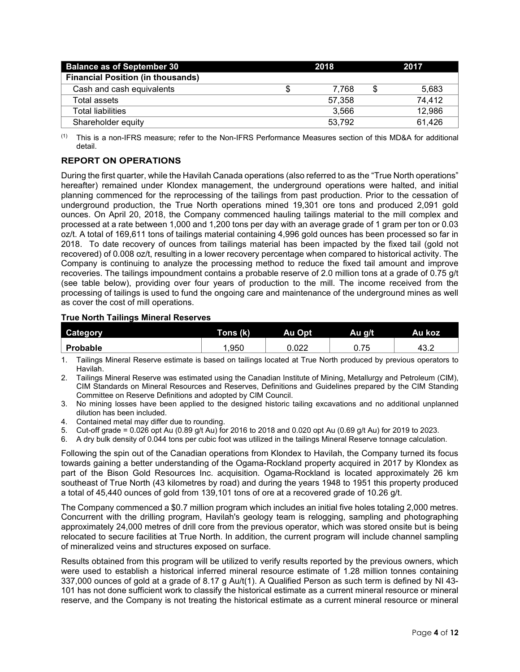| <b>Balance as of September 30</b>        | 2018 |        |  | 2017   |
|------------------------------------------|------|--------|--|--------|
| <b>Financial Position (in thousands)</b> |      |        |  |        |
| Cash and cash equivalents                |      | 7.768  |  | 5,683  |
| Total assets                             |      | 57.358 |  | 74.412 |
| Total liabilities                        |      | 3.566  |  | 12,986 |
| Shareholder equity                       |      | 53.792 |  | 61,426 |

 $(1)$  This is a non-IFRS measure; refer to the Non-IFRS Performance Measures section of this MD&A for additional detail.

# **REPORT ON OPERATIONS**

During the first quarter, while the Havilah Canada operations (also referred to as the "True North operations" hereafter) remained under Klondex management, the underground operations were halted, and initial planning commenced for the reprocessing of the tailings from past production. Prior to the cessation of underground production, the True North operations mined 19,301 ore tons and produced 2,091 gold ounces. On April 20, 2018, the Company commenced hauling tailings material to the mill complex and processed at a rate between 1,000 and 1,200 tons per day with an average grade of 1 gram per ton or 0.03 oz/t. A total of 169,611 tons of tailings material containing 4,996 gold ounces has been processed so far in 2018. To date recovery of ounces from tailings material has been impacted by the fixed tail (gold not recovered) of 0.008 oz/t, resulting in a lower recovery percentage when compared to historical activity. The Company is continuing to analyze the processing method to reduce the fixed tail amount and improve recoveries. The tailings impoundment contains a probable reserve of 2.0 million tons at a grade of 0.75 g/t (see table below), providing over four years of production to the mill. The income received from the processing of tailings is used to fund the ongoing care and maintenance of the underground mines as well as cover the cost of mill operations.

#### **True North Tailings Mineral Reserves**

| <b>Category</b> | Tons (k) | Au Opt | Au g/t | Au koz |
|-----------------|----------|--------|--------|--------|
| Probable        | .950     | 0.022  | 0.75   | ے.43   |

1. Tailings Mineral Reserve estimate is based on tailings located at True North produced by previous operators to Havilah.

2. Tailings Mineral Reserve was estimated using the Canadian Institute of Mining, Metallurgy and Petroleum (CIM), CIM Standards on Mineral Resources and Reserves, Definitions and Guidelines prepared by the CIM Standing Committee on Reserve Definitions and adopted by CIM Council.

3. No mining losses have been applied to the designed historic tailing excavations and no additional unplanned dilution has been included.

4. Contained metal may differ due to rounding.

5. Cut-off grade = 0.026 opt Au (0.89 g/t Au) for 2016 to 2018 and 0.020 opt Au (0.69 g/t Au) for 2019 to 2023.

6. A dry bulk density of 0.044 tons per cubic foot was utilized in the tailings Mineral Reserve tonnage calculation.

Following the spin out of the Canadian operations from Klondex to Havilah, the Company turned its focus towards gaining a better understanding of the Ogama-Rockland property acquired in 2017 by Klondex as part of the Bison Gold Resources Inc. acquisition. Ogama-Rockland is located approximately 26 km southeast of True North (43 kilometres by road) and during the years 1948 to 1951 this property produced a total of 45,440 ounces of gold from 139,101 tons of ore at a recovered grade of 10.26 g/t.

The Company commenced a \$0.7 million program which includes an initial five holes totaling 2,000 metres. Concurrent with the drilling program, Havilah's geology team is relogging, sampling and photographing approximately 24,000 metres of drill core from the previous operator, which was stored onsite but is being relocated to secure facilities at True North. In addition, the current program will include channel sampling of mineralized veins and structures exposed on surface.

Results obtained from this program will be utilized to verify results reported by the previous owners, which were used to establish a historical inferred mineral resource estimate of 1.28 million tonnes containing 337,000 ounces of gold at a grade of 8.17 g Au/t(1). A Qualified Person as such term is defined by NI 43- 101 has not done sufficient work to classify the historical estimate as a current mineral resource or mineral reserve, and the Company is not treating the historical estimate as a current mineral resource or mineral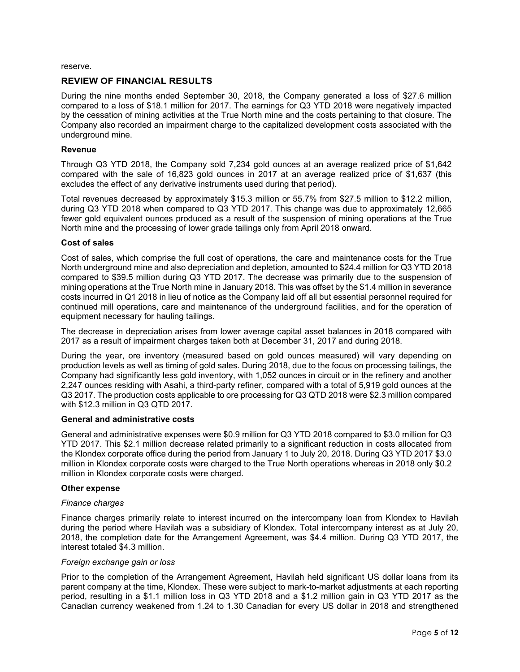reserve.

#### **REVIEW OF FINANCIAL RESULTS**

During the nine months ended September 30, 2018, the Company generated a loss of \$27.6 million compared to a loss of \$18.1 million for 2017. The earnings for Q3 YTD 2018 were negatively impacted by the cessation of mining activities at the True North mine and the costs pertaining to that closure. The Company also recorded an impairment charge to the capitalized development costs associated with the underground mine.

#### **Revenue**

Through Q3 YTD 2018, the Company sold 7,234 gold ounces at an average realized price of \$1,642 compared with the sale of 16,823 gold ounces in 2017 at an average realized price of \$1,637 (this excludes the effect of any derivative instruments used during that period).

Total revenues decreased by approximately \$15.3 million or 55.7% from \$27.5 million to \$12.2 million, during Q3 YTD 2018 when compared to Q3 YTD 2017. This change was due to approximately 12,665 fewer gold equivalent ounces produced as a result of the suspension of mining operations at the True North mine and the processing of lower grade tailings only from April 2018 onward.

#### **Cost of sales**

Cost of sales, which comprise the full cost of operations, the care and maintenance costs for the True North underground mine and also depreciation and depletion, amounted to \$24.4 million for Q3 YTD 2018 compared to \$39.5 million during Q3 YTD 2017. The decrease was primarily due to the suspension of mining operations at the True North mine in January 2018. This was offset by the \$1.4 million in severance costs incurred in Q1 2018 in lieu of notice as the Company laid off all but essential personnel required for continued mill operations, care and maintenance of the underground facilities, and for the operation of equipment necessary for hauling tailings.

The decrease in depreciation arises from lower average capital asset balances in 2018 compared with 2017 as a result of impairment charges taken both at December 31, 2017 and during 2018.

During the year, ore inventory (measured based on gold ounces measured) will vary depending on production levels as well as timing of gold sales. During 2018, due to the focus on processing tailings, the Company had significantly less gold inventory, with 1,052 ounces in circuit or in the refinery and another 2,247 ounces residing with Asahi, a third-party refiner, compared with a total of 5,919 gold ounces at the Q3 2017. The production costs applicable to ore processing for Q3 QTD 2018 were \$2.3 million compared with \$12.3 million in Q3 QTD 2017.

#### **General and administrative costs**

General and administrative expenses were \$0.9 million for Q3 YTD 2018 compared to \$3.0 million for Q3 YTD 2017. This \$2.1 million decrease related primarily to a significant reduction in costs allocated from the Klondex corporate office during the period from January 1 to July 20, 2018. During Q3 YTD 2017 \$3.0 million in Klondex corporate costs were charged to the True North operations whereas in 2018 only \$0.2 million in Klondex corporate costs were charged.

#### **Other expense**

#### *Finance charges*

Finance charges primarily relate to interest incurred on the intercompany loan from Klondex to Havilah during the period where Havilah was a subsidiary of Klondex. Total intercompany interest as at July 20, 2018, the completion date for the Arrangement Agreement, was \$4.4 million. During Q3 YTD 2017, the interest totaled \$4.3 million.

#### *Foreign exchange gain or loss*

Prior to the completion of the Arrangement Agreement, Havilah held significant US dollar loans from its parent company at the time, Klondex. These were subject to mark-to-market adjustments at each reporting period, resulting in a \$1.1 million loss in Q3 YTD 2018 and a \$1.2 million gain in Q3 YTD 2017 as the Canadian currency weakened from 1.24 to 1.30 Canadian for every US dollar in 2018 and strengthened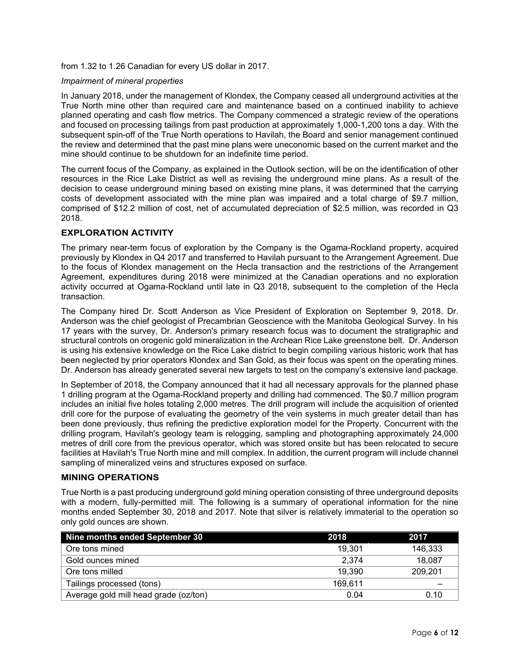from 1.32 to 1.26 Canadian for every US dollar in 2017.

#### *Impairment of mineral properties*

In January 2018, under the management of Klondex, the Company ceased all underground activities at the True North mine other than required care and maintenance based on a continued inability to achieve planned operating and cash flow metrics. The Company commenced a strategic review of the operations and focused on processing tailings from past production at approximately 1,000-1,200 tons a day. With the subsequent spin-off of the True North operations to Havilah, the Board and senior management continued the review and determined that the past mine plans were uneconomic based on the current market and the mine should continue to be shutdown for an indefinite time period.

The current focus of the Company, as explained in the Outlook section, will be on the identification of other resources in the Rice Lake District as well as revising the underground mine plans. As a result of the decision to cease underground mining based on existing mine plans, it was determined that the carrying costs of development associated with the mine plan was impaired and a total charge of \$9.7 million, comprised of \$12.2 million of cost, net of accumulated depreciation of \$2.5 million, was recorded in Q3 2018.

## **EXPLORATION ACTIVITY**

The primary near-term focus of exploration by the Company is the Ogama-Rockland property, acquired previously by Klondex in Q4 2017 and transferred to Havilah pursuant to the Arrangement Agreement. Due to the focus of Klondex management on the Hecla transaction and the restrictions of the Arrangement Agreement, expenditures during 2018 were minimized at the Canadian operations and no exploration activity occurred at Ogama-Rockland until late in Q3 2018, subsequent to the completion of the Hecla transaction.

The Company hired Dr. Scott Anderson as Vice President of Exploration on September 9, 2018. Dr. Anderson was the chief geologist of Precambrian Geoscience with the Manitoba Geological Survey. In his 17 years with the survey, Dr. Anderson's primary research focus was to document the stratigraphic and structural controls on orogenic gold mineralization in the Archean Rice Lake greenstone belt. Dr. Anderson is using his extensive knowledge on the Rice Lake district to begin compiling various historic work that has been neglected by prior operators Klondex and San Gold, as their focus was spent on the operating mines. Dr. Anderson has already generated several new targets to test on the company's extensive land package.

In September of 2018, the Company announced that it had all necessary approvals for the planned phase 1 drilling program at the Ogama-Rockland property and drilling had commenced. The \$0.7 million program includes an initial five holes totaling 2,000 metres. The drill program will include the acquisition of oriented drill core for the purpose of evaluating the geometry of the vein systems in much greater detail than has been done previously, thus refining the predictive exploration model for the Property. Concurrent with the drilling program, Havilah's geology team is relogging, sampling and photographing approximately 24,000 metres of drill core from the previous operator, which was stored onsite but has been relocated to secure facilities at Havilah's True North mine and mill complex. In addition, the current program will include channel sampling of mineralized veins and structures exposed on surface.

#### **MINING OPERATIONS**

True North is a past producing underground gold mining operation consisting of three underground deposits with a modern, fully-permitted mill. The following is a summary of operational information for the nine months ended September 30, 2018 and 2017. Note that silver is relatively immaterial to the operation so only gold ounces are shown.

| Nine months ended September 30        | 2018    | 2017    |
|---------------------------------------|---------|---------|
| Ore tons mined                        | 19.301  | 146,333 |
| Gold ounces mined                     | 2.374   | 18,087  |
| Ore tons milled                       | 19,390  | 209,201 |
| Tailings processed (tons)             | 169.611 |         |
| Average gold mill head grade (oz/ton) | 0.04    | 0.10    |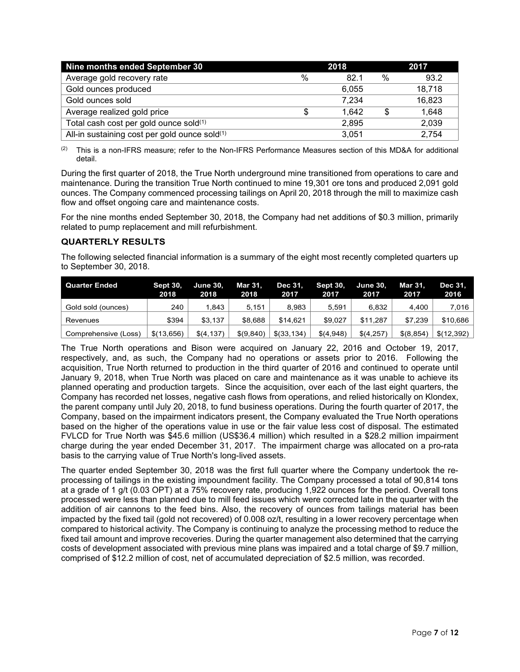| Nine months ended September 30                | 2018 |       |               | 2017   |  |  |
|-----------------------------------------------|------|-------|---------------|--------|--|--|
| Average gold recovery rate                    | %    | 82.1  | $\frac{0}{0}$ | 93.2   |  |  |
| Gold ounces produced                          |      | 6.055 |               | 18,718 |  |  |
| Gold ounces sold                              |      | 7.234 |               | 16,823 |  |  |
| Average realized gold price                   | S    | 1.642 |               | 1,648  |  |  |
| Total cash cost per gold ounce sold(1)        |      | 2,895 |               | 2,039  |  |  |
| All-in sustaining cost per gold ounce sold(1) |      | 3,051 |               | 2,754  |  |  |

 $(2)$  This is a non-IFRS measure; refer to the Non-IFRS Performance Measures section of this MD&A for additional detail.

During the first quarter of 2018, the True North underground mine transitioned from operations to care and maintenance. During the transition True North continued to mine 19,301 ore tons and produced 2,091 gold ounces. The Company commenced processing tailings on April 20, 2018 through the mill to maximize cash flow and offset ongoing care and maintenance costs.

For the nine months ended September 30, 2018, the Company had net additions of \$0.3 million, primarily related to pump replacement and mill refurbishment.

# **QUARTERLY RESULTS**

The following selected financial information is a summary of the eight most recently completed quarters up to September 30, 2018.

| <b>Quarter Ended</b> | <b>Sept 30.</b><br>2018 | <b>June 30,</b><br>2018 | <b>Mar 31.</b><br>2018 | Dec 31.<br>2017 | <b>Sept 30.</b><br>2017 | <b>June 30.</b><br>2017 | <b>Mar 31.</b><br>2017 | Dec 31.<br>2016 |
|----------------------|-------------------------|-------------------------|------------------------|-----------------|-------------------------|-------------------------|------------------------|-----------------|
| Gold sold (ounces)   | 240                     | 1.843                   | 5.151                  | 8.983           | 5.591                   | 6.832                   | 4.400                  | 7.016           |
| Revenues             | \$394                   | \$3.137                 | \$8.688                | \$14.621        | \$9.027                 | \$11.287                | \$7.239                | \$10,686        |
| Comprehensive (Loss) | \$(13.656)              | \$(4, 137)              | \$(9.840)              | $$$ (33.134)    | \$(4,948)               | \$(4,257)               | \$ (8, 854)            | \$(12.392)      |

The True North operations and Bison were acquired on January 22, 2016 and October 19, 2017, respectively, and, as such, the Company had no operations or assets prior to 2016. Following the acquisition, True North returned to production in the third quarter of 2016 and continued to operate until January 9, 2018, when True North was placed on care and maintenance as it was unable to achieve its planned operating and production targets. Since the acquisition, over each of the last eight quarters, the Company has recorded net losses, negative cash flows from operations, and relied historically on Klondex, the parent company until July 20, 2018, to fund business operations. During the fourth quarter of 2017, the Company, based on the impairment indicators present, the Company evaluated the True North operations based on the higher of the operations value in use or the fair value less cost of disposal. The estimated FVLCD for True North was \$45.6 million (US\$36.4 million) which resulted in a \$28.2 million impairment charge during the year ended December 31, 2017. The impairment charge was allocated on a pro-rata basis to the carrying value of True North's long-lived assets.

The quarter ended September 30, 2018 was the first full quarter where the Company undertook the reprocessing of tailings in the existing impoundment facility. The Company processed a total of 90,814 tons at a grade of 1 g/t (0.03 OPT) at a 75% recovery rate, producing 1,922 ounces for the period. Overall tons processed were less than planned due to mill feed issues which were corrected late in the quarter with the addition of air cannons to the feed bins. Also, the recovery of ounces from tailings material has been impacted by the fixed tail (gold not recovered) of 0.008 oz/t, resulting in a lower recovery percentage when compared to historical activity. The Company is continuing to analyze the processing method to reduce the fixed tail amount and improve recoveries. During the quarter management also determined that the carrying costs of development associated with previous mine plans was impaired and a total charge of \$9.7 million, comprised of \$12.2 million of cost, net of accumulated depreciation of \$2.5 million, was recorded.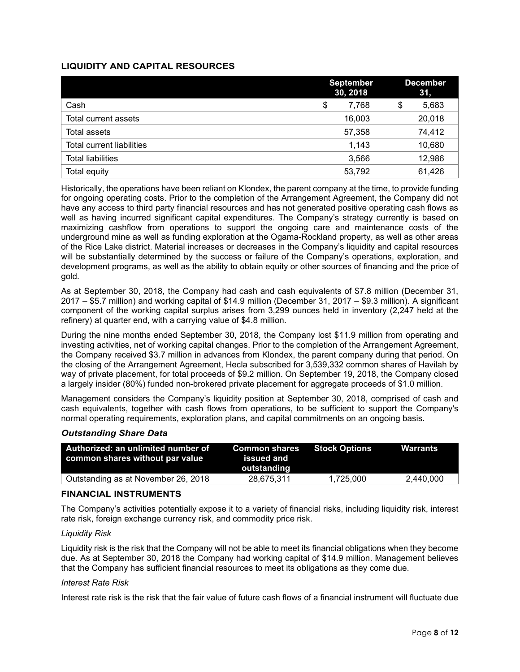# **LIQUIDITY AND CAPITAL RESOURCES**

|                                  | <b>September</b><br>30, 2018 | <b>December</b><br>31, |        |  |
|----------------------------------|------------------------------|------------------------|--------|--|
| Cash                             | \$<br>7,768                  | \$                     | 5,683  |  |
| Total current assets             | 16,003                       |                        | 20,018 |  |
| Total assets                     | 57,358                       |                        | 74,412 |  |
| <b>Total current liabilities</b> | 1,143                        |                        | 10,680 |  |
| <b>Total liabilities</b>         | 3,566                        |                        | 12,986 |  |
| Total equity                     | 53,792                       |                        | 61,426 |  |

Historically, the operations have been reliant on Klondex, the parent company at the time, to provide funding for ongoing operating costs. Prior to the completion of the Arrangement Agreement, the Company did not have any access to third party financial resources and has not generated positive operating cash flows as well as having incurred significant capital expenditures. The Company's strategy currently is based on maximizing cashflow from operations to support the ongoing care and maintenance costs of the underground mine as well as funding exploration at the Ogama-Rockland property, as well as other areas of the Rice Lake district. Material increases or decreases in the Company's liquidity and capital resources will be substantially determined by the success or failure of the Company's operations, exploration, and development programs, as well as the ability to obtain equity or other sources of financing and the price of gold.

As at September 30, 2018, the Company had cash and cash equivalents of \$7.8 million (December 31, 2017 – \$5.7 million) and working capital of \$14.9 million (December 31, 2017 – \$9.3 million). A significant component of the working capital surplus arises from 3,299 ounces held in inventory (2,247 held at the refinery) at quarter end, with a carrying value of \$4.8 million.

During the nine months ended September 30, 2018, the Company lost \$11.9 million from operating and investing activities, net of working capital changes. Prior to the completion of the Arrangement Agreement, the Company received \$3.7 million in advances from Klondex, the parent company during that period. On the closing of the Arrangement Agreement, Hecla subscribed for 3,539,332 common shares of Havilah by way of private placement, for total proceeds of \$9.2 million. On September 19, 2018, the Company closed a largely insider (80%) funded non-brokered private placement for aggregate proceeds of \$1.0 million.

Management considers the Company's liquidity position at September 30, 2018, comprised of cash and cash equivalents, together with cash flows from operations, to be sufficient to support the Company's normal operating requirements, exploration plans, and capital commitments on an ongoing basis.

#### *Outstanding Share Data*

| Authorized: an unlimited number of<br>common shares without par value | <b>Common shares</b><br>issued and<br>outstanding | Stock Options | Warrants  |
|-----------------------------------------------------------------------|---------------------------------------------------|---------------|-----------|
| Outstanding as at November 26, 2018                                   | 28,675,311                                        | 1.725.000     | 2,440,000 |

#### **FINANCIAL INSTRUMENTS**

The Company's activities potentially expose it to a variety of financial risks, including liquidity risk, interest rate risk, foreign exchange currency risk, and commodity price risk.

#### *Liquidity Risk*

Liquidity risk is the risk that the Company will not be able to meet its financial obligations when they become due. As at September 30, 2018 the Company had working capital of \$14.9 million. Management believes that the Company has sufficient financial resources to meet its obligations as they come due.

#### *Interest Rate Risk*

Interest rate risk is the risk that the fair value of future cash flows of a financial instrument will fluctuate due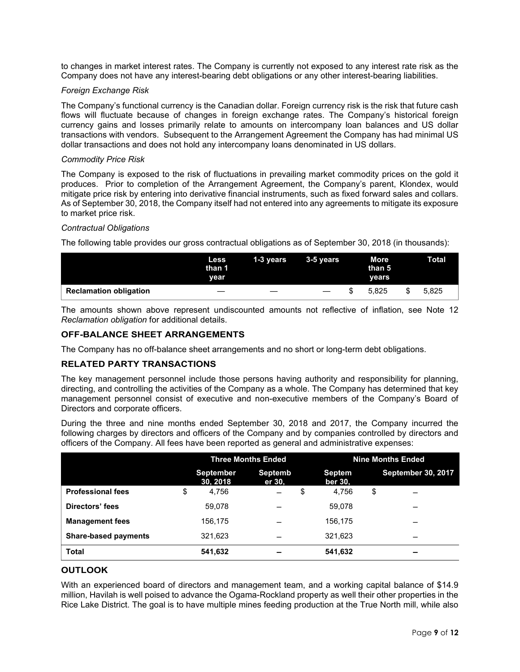to changes in market interest rates. The Company is currently not exposed to any interest rate risk as the Company does not have any interest-bearing debt obligations or any other interest-bearing liabilities.

#### *Foreign Exchange Risk*

The Company's functional currency is the Canadian dollar. Foreign currency risk is the risk that future cash flows will fluctuate because of changes in foreign exchange rates. The Company's historical foreign currency gains and losses primarily relate to amounts on intercompany loan balances and US dollar transactions with vendors. Subsequent to the Arrangement Agreement the Company has had minimal US dollar transactions and does not hold any intercompany loans denominated in US dollars.

#### *Commodity Price Risk*

The Company is exposed to the risk of fluctuations in prevailing market commodity prices on the gold it produces. Prior to completion of the Arrangement Agreement, the Company's parent, Klondex, would mitigate price risk by entering into derivative financial instruments, such as fixed forward sales and collars. As of September 30, 2018, the Company itself had not entered into any agreements to mitigate its exposure to market price risk.

#### *Contractual Obligations*

The following table provides our gross contractual obligations as of September 30, 2018 (in thousands):

|                               | Less<br>than 1<br>year | $1-3$ years | 3-5 years         | More<br>than 5<br>vears | <b>Total</b> |
|-------------------------------|------------------------|-------------|-------------------|-------------------------|--------------|
| <b>Reclamation obligation</b> |                        |             | $\hspace{0.05cm}$ | 5.825                   | 5.825        |

The amounts shown above represent undiscounted amounts not reflective of inflation, see Note 12 *Reclamation obligation* for additional details.

## **OFF-BALANCE SHEET ARRANGEMENTS**

The Company has no off-balance sheet arrangements and no short or long-term debt obligations.

# **RELATED PARTY TRANSACTIONS**

The key management personnel include those persons having authority and responsibility for planning, directing, and controlling the activities of the Company as a whole. The Company has determined that key management personnel consist of executive and non-executive members of the Company's Board of Directors and corporate officers.

During the three and nine months ended September 30, 2018 and 2017, the Company incurred the following charges by directors and officers of the Company and by companies controlled by directors and officers of the Company. All fees have been reported as general and administrative expenses:

|                             | <b>Three Months Ended</b>    |                   |    | <b>Nine Months Ended</b> |    |                           |
|-----------------------------|------------------------------|-------------------|----|--------------------------|----|---------------------------|
|                             | <b>September</b><br>30, 2018 | Septemb<br>er 30, |    | <b>Septem</b><br>ber 30. |    | <b>September 30, 2017</b> |
| <b>Professional fees</b>    | \$<br>4,756                  |                   | \$ | 4.756                    | \$ |                           |
| Directors' fees             | 59.078                       |                   |    | 59.078                   |    |                           |
| <b>Management fees</b>      | 156.175                      |                   |    | 156,175                  |    | –                         |
| <b>Share-based payments</b> | 321,623                      |                   |    | 321,623                  |    | –                         |
| <b>Total</b>                | 541,632                      |                   |    | 541,632                  |    | $\overline{\phantom{0}}$  |

## **OUTLOOK**

With an experienced board of directors and management team, and a working capital balance of \$14.9 million, Havilah is well poised to advance the Ogama-Rockland property as well their other properties in the Rice Lake District. The goal is to have multiple mines feeding production at the True North mill, while also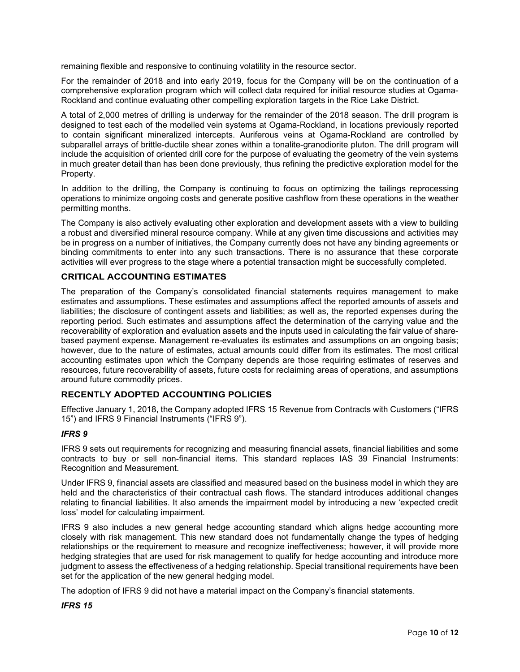remaining flexible and responsive to continuing volatility in the resource sector.

For the remainder of 2018 and into early 2019, focus for the Company will be on the continuation of a comprehensive exploration program which will collect data required for initial resource studies at Ogama-Rockland and continue evaluating other compelling exploration targets in the Rice Lake District.

A total of 2,000 metres of drilling is underway for the remainder of the 2018 season. The drill program is designed to test each of the modelled vein systems at Ogama-Rockland, in locations previously reported to contain significant mineralized intercepts. Auriferous veins at Ogama-Rockland are controlled by subparallel arrays of brittle-ductile shear zones within a tonalite-granodiorite pluton. The drill program will include the acquisition of oriented drill core for the purpose of evaluating the geometry of the vein systems in much greater detail than has been done previously, thus refining the predictive exploration model for the Property.

In addition to the drilling, the Company is continuing to focus on optimizing the tailings reprocessing operations to minimize ongoing costs and generate positive cashflow from these operations in the weather permitting months.

The Company is also actively evaluating other exploration and development assets with a view to building a robust and diversified mineral resource company. While at any given time discussions and activities may be in progress on a number of initiatives, the Company currently does not have any binding agreements or binding commitments to enter into any such transactions. There is no assurance that these corporate activities will ever progress to the stage where a potential transaction might be successfully completed.

# **CRITICAL ACCOUNTING ESTIMATES**

The preparation of the Company's consolidated financial statements requires management to make estimates and assumptions. These estimates and assumptions affect the reported amounts of assets and liabilities; the disclosure of contingent assets and liabilities; as well as, the reported expenses during the reporting period. Such estimates and assumptions affect the determination of the carrying value and the recoverability of exploration and evaluation assets and the inputs used in calculating the fair value of sharebased payment expense. Management re-evaluates its estimates and assumptions on an ongoing basis; however, due to the nature of estimates, actual amounts could differ from its estimates. The most critical accounting estimates upon which the Company depends are those requiring estimates of reserves and resources, future recoverability of assets, future costs for reclaiming areas of operations, and assumptions around future commodity prices.

# **RECENTLY ADOPTED ACCOUNTING POLICIES**

Effective January 1, 2018, the Company adopted IFRS 15 Revenue from Contracts with Customers ("IFRS 15") and IFRS 9 Financial Instruments ("IFRS 9").

# *IFRS 9*

IFRS 9 sets out requirements for recognizing and measuring financial assets, financial liabilities and some contracts to buy or sell non-financial items. This standard replaces IAS 39 Financial Instruments: Recognition and Measurement.

Under IFRS 9, financial assets are classified and measured based on the business model in which they are held and the characteristics of their contractual cash flows. The standard introduces additional changes relating to financial liabilities. It also amends the impairment model by introducing a new 'expected credit loss' model for calculating impairment.

IFRS 9 also includes a new general hedge accounting standard which aligns hedge accounting more closely with risk management. This new standard does not fundamentally change the types of hedging relationships or the requirement to measure and recognize ineffectiveness; however, it will provide more hedging strategies that are used for risk management to qualify for hedge accounting and introduce more judgment to assess the effectiveness of a hedging relationship. Special transitional requirements have been set for the application of the new general hedging model.

The adoption of IFRS 9 did not have a material impact on the Company's financial statements.

# *IFRS 15*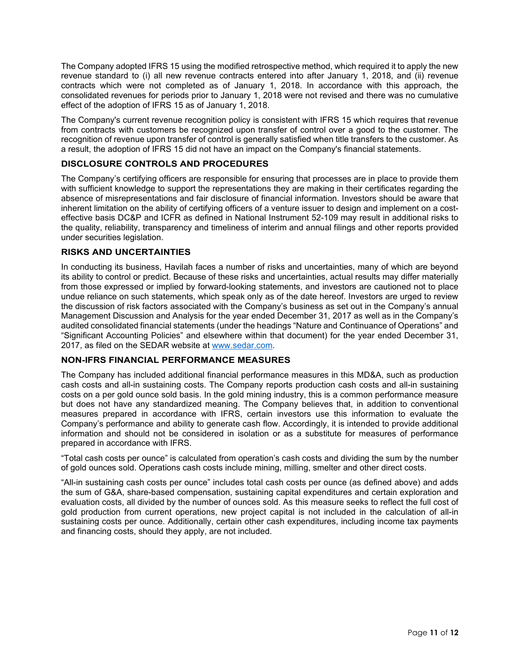The Company adopted IFRS 15 using the modified retrospective method, which required it to apply the new revenue standard to (i) all new revenue contracts entered into after January 1, 2018, and (ii) revenue contracts which were not completed as of January 1, 2018. In accordance with this approach, the consolidated revenues for periods prior to January 1, 2018 were not revised and there was no cumulative effect of the adoption of IFRS 15 as of January 1, 2018.

The Company's current revenue recognition policy is consistent with IFRS 15 which requires that revenue from contracts with customers be recognized upon transfer of control over a good to the customer. The recognition of revenue upon transfer of control is generally satisfied when title transfers to the customer. As a result, the adoption of IFRS 15 did not have an impact on the Company's financial statements.

# **DISCLOSURE CONTROLS AND PROCEDURES**

The Company's certifying officers are responsible for ensuring that processes are in place to provide them with sufficient knowledge to support the representations they are making in their certificates regarding the absence of misrepresentations and fair disclosure of financial information. Investors should be aware that inherent limitation on the ability of certifying officers of a venture issuer to design and implement on a costeffective basis DC&P and ICFR as defined in National Instrument 52-109 may result in additional risks to the quality, reliability, transparency and timeliness of interim and annual filings and other reports provided under securities legislation.

# **RISKS AND UNCERTAINTIES**

In conducting its business, Havilah faces a number of risks and uncertainties, many of which are beyond its ability to control or predict. Because of these risks and uncertainties, actual results may differ materially from those expressed or implied by forward-looking statements, and investors are cautioned not to place undue reliance on such statements, which speak only as of the date hereof. Investors are urged to review the discussion of risk factors associated with the Company's business as set out in the Company's annual Management Discussion and Analysis for the year ended December 31, 2017 as well as in the Company's audited consolidated financial statements (under the headings "Nature and Continuance of Operations" and "Significant Accounting Policies" and elsewhere within that document) for the year ended December 31, 2017, as filed on the SEDAR website at [www.sedar.com.](http://www.sedar.com/)

# **NON-IFRS FINANCIAL PERFORMANCE MEASURES**

The Company has included additional financial performance measures in this MD&A, such as production cash costs and all-in sustaining costs. The Company reports production cash costs and all-in sustaining costs on a per gold ounce sold basis. In the gold mining industry, this is a common performance measure but does not have any standardized meaning. The Company believes that, in addition to conventional measures prepared in accordance with IFRS, certain investors use this information to evaluate the Company's performance and ability to generate cash flow. Accordingly, it is intended to provide additional information and should not be considered in isolation or as a substitute for measures of performance prepared in accordance with IFRS.

"Total cash costs per ounce" is calculated from operation's cash costs and dividing the sum by the number of gold ounces sold. Operations cash costs include mining, milling, smelter and other direct costs.

"All-in sustaining cash costs per ounce" includes total cash costs per ounce (as defined above) and adds the sum of G&A, share-based compensation, sustaining capital expenditures and certain exploration and evaluation costs, all divided by the number of ounces sold. As this measure seeks to reflect the full cost of gold production from current operations, new project capital is not included in the calculation of all-in sustaining costs per ounce. Additionally, certain other cash expenditures, including income tax payments and financing costs, should they apply, are not included.